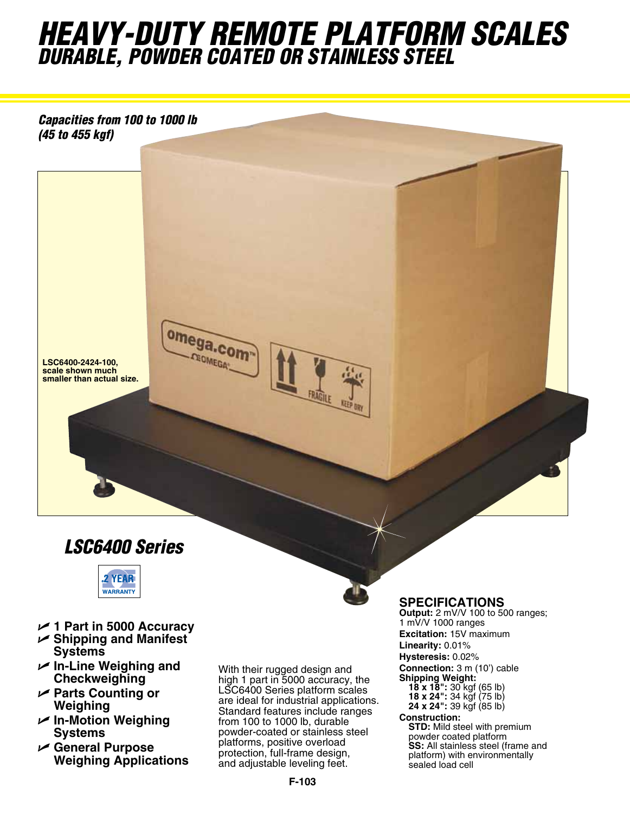# *heavy-duty Remote Platform Scales durable, powder coated or stainless steel*

*Capacities from 100 to 1000 lb (45 to 455 kgf)*



## *LSC6400 Series*

omega.com **CEOMEGA** 



- U **1 Part in 5000 Accuracy**
- U **Shipping and Manifest Systems**
- U **In-Line Weighing and Checkweighing**
- U **Parts Counting or Weighing**
- U **In-Motion Weighing Systems**
- U **General Purpose Weighing Applications**

With their rugged design and high 1 part in 5000 accuracy, the LSC6400 Series platform scales are ideal for industrial applications. Standard features include ranges from 100 to 1000 lb, durable powder-coated or stainless steel platforms, positive overload protection, full-frame design, and adjustable leveling feet.

**SPECIFICATIONS**<br>Output: 2 mV/V 100 to 500 ranges; 1 mV/V 1000 ranges **Excitation:** 15V maximum **Linearity:** 0.01% **Hysteresis:** 0.02% **Connection:** 3 m (10') cable **Shipping Weight:**

- 
- **18 x 18":** 30 kgf (65 lb) **18 x 24":** 34 kgf (75 lb) **24 x 24":** 39 kgf (85 lb)

### **Construction:**

**STD:** Mild steel with premium powder coated platform **SS:** All stainless steel (frame and platform) with environmentally sealed load cell